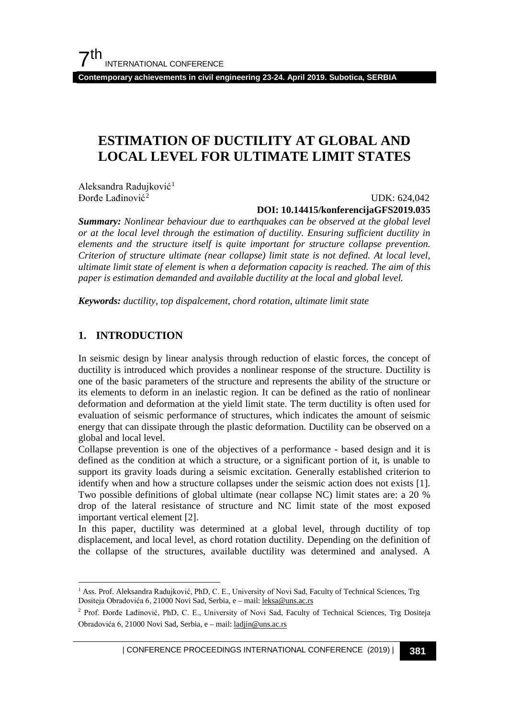**Contemporary achievements in civil engineering 23-24. April 2019. Subotica, SERBIA**

# **ESTIMATION OF DUCTILITY AT GLOBAL AND LOCAL LEVEL FOR ULTIMATE LIMIT STATES**

Aleksandra Radujković<sup>[1](#page-0-0)</sup> Đorđe Lađinović[2](#page-0-1)

### UDK: 624,042 **DOI: 10.14415/konferencijaGFS2019.035**

*Summary: Nonlinear behaviour due to earthquakes can be observed at the global level or at the local level through the estimation of ductility. Ensuring sufficient ductility in elements and the structure itself is quite important for structure collapse prevention. Criterion of structure ultimate (near collapse) limit state is not defined. At local level, ultimate limit state of element is when a deformation capacity is reached. The aim of this paper is estimation demanded and available ductility at the local and global level.*

*Keywords: ductility, top dispalcement, chord rotation, ultimate limit state*

### **1. INTRODUCTION**

In seismic design by linear analysis through reduction of elastic forces, the concept of ductility is introduced which provides a nonlinear response of the structure. Ductility is one of the basic parameters of the structure and represents the ability of the structure or its elements to deform in an inelastic region. It can be defined as the ratio of nonlinear deformation and deformation at the yield limit state. The term ductility is often used for evaluation of seismic performance of structures, which indicates the amount of seismic energy that can dissipate through the plastic deformation. Ductility can be observed on a global and local level.

Collapse prevention is one of the objectives of a performance - based design and it is defined as the condition at which a structure, or a significant portion of it, is unable to support its gravity loads during a seismic excitation. Generally established criterion to identify when and how a structure collapses under the seismic action does not exists [1]. Two possible definitions of global ultimate (near collapse NC) limit states are: a 20 % drop of the lateral resistance of structure and NC limit state of the most exposed important vertical element [2].

In this paper, ductility was determined at a global level, through ductility of top displacement, and local level, as chord rotation ductility. Depending on the definition of the collapse of the structures, available ductility was determined and analysed. A

<span id="page-0-0"></span><sup>&</sup>lt;sup>1</sup> Ass. Prof. Aleksandra Radujković, PhD, C. E., University of Novi Sad, Faculty of Technical Sciences, Trg Dositeja Obradovića 6, 21000 Novi Sad, Serbia, e – mail: [leksa@uns.ac.rs](mailto:sreckovic@gf.uns.ac.rs)

<span id="page-0-1"></span><sup>2</sup> Prof. Đorđe Lađinović, PhD, C. E., University of Novi Sad, Faculty of Technical Sciences, Trg Dositeja Obradovića 6, 21000 Novi Sad, Serbia, e – mail[: ladjin@uns.ac.rs](mailto:sreckovic@gf.uns.ac.rs)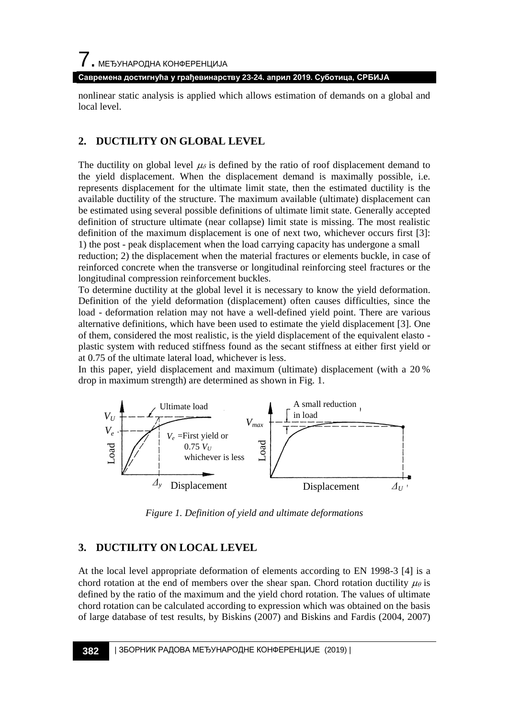**Савремена достигнућа у грађевинарству 23-24. април 2019. Суботица, СРБИЈА**

nonlinear static analysis is applied which allows estimation of demands on a global and local level.

### **2. DUCTILITY ON GLOBAL LEVEL**

The ductility on global level  $\mu_{\delta}$  is defined by the ratio of roof displacement demand to the yield displacement. When the displacement demand is maximally possible, i.e. represents displacement for the ultimate limit state, then the estimated ductility is the available ductility of the structure. The maximum available (ultimate) displacement can be estimated using several possible definitions of ultimate limit state. Generally accepted definition of structure ultimate (near collapse) limit state is missing. The most realistic definition of the maximum displacement is one of next two, whichever occurs first [3]: 1) the post - peak displacement when the load carrying capacity has undergone a small reduction; 2) the displacement when the material fractures or elements buckle, in case of reinforced concrete when the transverse or longitudinal reinforcing steel fractures or the longitudinal compression reinforcement buckles.

To determine ductility at the global level it is necessary to know the yield deformation. Definition of the yield deformation (displacement) often causes difficulties, since the load - deformation relation may not have a well-defined yield point. There are various alternative definitions, which have been used to estimate the yield displacement [3]. One of them, considered the most realistic, is the yield displacement of the equivalent elasto plastic system with reduced stiffness found as the secant stiffness at either first yield or at 0.75 of the ultimate lateral load, whichever is less.

In this paper, yield displacement and maximum (ultimate) displacement (with a 20 % drop in maximum strength) are determined as shown in Fig. 1.



*Figure 1. Definition of yield and ultimate deformations*

## **3. DUCTILITY ON LOCAL LEVEL**

At the local level appropriate deformation of elements according to EN 1998-3 [4] is a chord rotation at the end of members over the shear span. Chord rotation ductility  $\mu_{\theta}$  is defined by the ratio of the maximum and the yield chord rotation. The values of ultimate chord rotation can be calculated according to expression which was obtained on the basis of large database of test results, by Biskins (2007) and Biskins and Fardis (2004, 2007)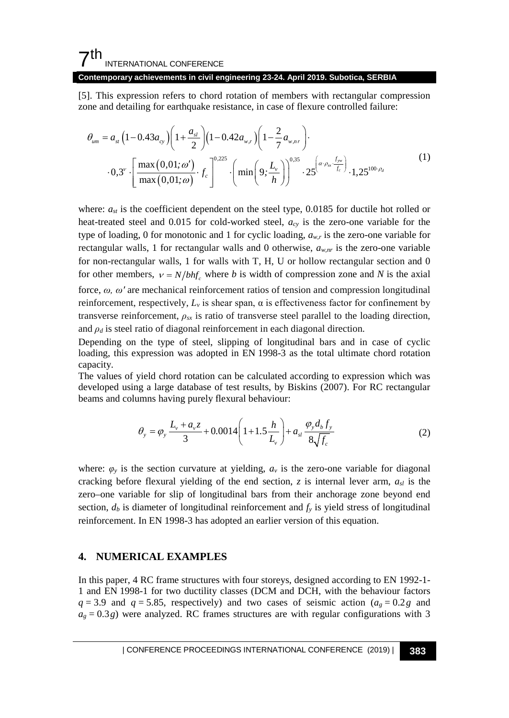## $7<sup>th</sup>$ INTERNATIONAL CONFERENCE

#### **Contemporary achievements in civil engineering 23-24. April 2019. Subotica, SERBIA**

[5]. This expression refers to chord rotation of members with rectangular compression zone and detailing for earthquake resistance, in case of flexure controlled failure:

$$
\theta_{um} = a_{st} \left( 1 - 0.43 a_{cy} \right) \left( 1 + \frac{a_{st}}{2} \right) \left( 1 - 0.42 a_{w,r} \right) \left( 1 - \frac{2}{7} a_{w,nr} \right) \cdot \cdot 0.3^{\nu} \cdot \left[ \frac{\max (0,01; \omega')}{\max (0,01; \omega)} \cdot f_c \right]^{-0.225} \cdot \left( \min \left( 9; \frac{L_v}{h} \right) \right)^{0.35} \cdot 25 \left( \frac{\alpha \cdot \rho_{ss} \cdot f_{pv}}{f_c} \right) \cdot 1.25^{100 \cdot \rho_d} \tag{1}
$$

where:  $a_{st}$  is the coefficient dependent on the steel type, 0.0185 for ductile hot rolled or heat-treated steel and 0.015 for cold-worked steel, *acy* is the zero-one variable for the type of loading, 0 for monotonic and 1 for cyclic loading,  $a_{w,r}$  is the zero-one variable for rectangular walls, 1 for rectangular walls and 0 otherwise,  $a_{w,nr}$  is the zero-one variable for non-rectangular walls, 1 for walls with T, H, U or hollow rectangular section and 0 for other members,  $v = N/bhf_c$  where *b* is width of compression zone and *N* is the axial force, *ω, ω'* are mechanical reinforcement ratios of tension and compression longitudinal reinforcement, respectively,  $L<sub>v</sub>$  is shear span, α is effectiveness factor for confinement by transverse reinforcement,  $\rho_{sx}$  is ratio of transverse steel parallel to the loading direction, and  $\rho_d$  is steel ratio of diagonal reinforcement in each diagonal direction.

Depending on the type of steel, slipping of longitudinal bars and in case of cyclic loading, this expression was adopted in EN 1998-3 as the total ultimate chord rotation capacity.

The values of yield chord rotation can be calculated according to expression which was developed using a large database of test results, by Biskins (2007). For RC rectangular beams and columns having purely flexural behaviour:

$$
\theta_{y} = \varphi_{y} \frac{L_{v} + a_{v} z}{3} + 0.0014 \left( 1 + 1.5 \frac{h}{L_{v}} \right) + a_{sl} \frac{\varphi_{y} d_{b} f_{y}}{8 \sqrt{f_{c}}}
$$
(2)

where:  $\varphi_y$  is the section curvature at yielding,  $a_y$  is the zero-one variable for diagonal cracking before flexural yielding of the end section,  $z$  is internal lever arm,  $a_{sl}$  is the zero–one variable for slip of longitudinal bars from their anchorage zone beyond end section,  $d_b$  is diameter of longitudinal reinforcement and  $f_y$  is yield stress of longitudinal reinforcement. In EN 1998-3 has adopted an earlier version of this equation.

### **4. NUMERICAL EXAMPLES**

In this paper, 4 RC frame structures with four storeys, designed according to EN 1992-1- 1 and EN 1998-1 for two ductility classes (DCM and DCH, with the behaviour factors  $q = 3.9$  and  $q = 5.85$ , respectively) and two cases of seismic action ( $a_g = 0.2g$  and  $a_g = 0.3g$ ) were analyzed. RC frames structures are with regular configurations with 3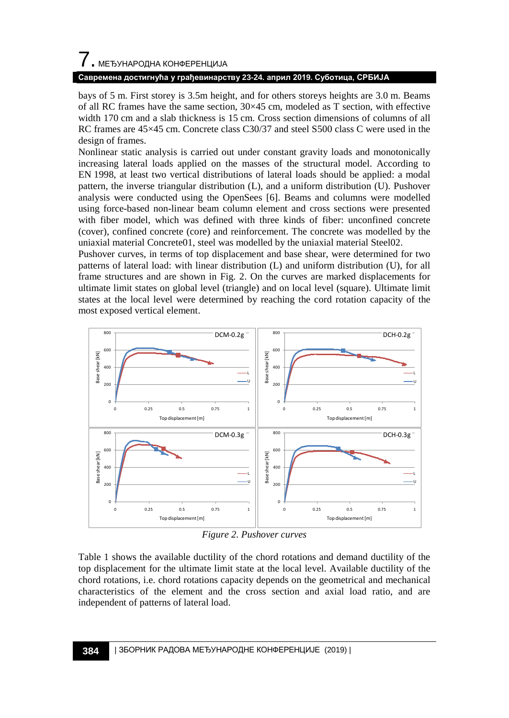# $\overline{\phantom{a}}$ . МЕЂУНАРОДНА КОНФЕРЕНЦИЈА

### **Савремена достигнућа у грађевинарству 23-24. април 2019. Суботица, СРБИЈА**

bays of 5 m. First storey is 3.5m height, and for others storeys heights are 3.0 m. Beams of all RC frames have the same section,  $30 \times 45$  cm, modeled as T section, with effective width 170 cm and a slab thickness is 15 cm. Cross section dimensions of columns of all RC frames are 45×45 cm. Concrete class C30/37 and steel S500 class C were used in the design of frames.

Nonlinear static analysis is carried out under constant gravity loads and monotonically increasing lateral loads applied on the masses of the structural model. According to EN 1998, at least two vertical distributions of lateral loads should be applied: a modal pattern, the inverse triangular distribution (L), and a uniform distribution (U). Pushover analysis were conducted using the OpenSees [6]. Beams and columns were modelled using force-based non-linear beam column element and cross sections were presented with fiber model, which was defined with three kinds of fiber: unconfined concrete (cover), confined concrete (core) and reinforcement. The concrete was modelled by the uniaxial material Concrete01, steel was modelled by the uniaxial material Steel02.

Pushover curves, in terms of top displacement and base shear, were determined for two patterns of lateral load: with linear distribution (L) and uniform distribution (U), for all frame structures and are shown in Fig. 2. On the curves are marked displacements for ultimate limit states on global level (triangle) and on local level (square). Ultimate limit states at the local level were determined by reaching the cord rotation capacity of the most exposed vertical element.



*Figure 2. Pushover curves*

Table 1 shows the available ductility of the chord rotations and demand ductility of the top displacement for the ultimate limit state at the local level. Available ductility of the chord rotations, i.e. chord rotations capacity depends on the geometrical and mechanical characteristics of the element and the cross section and axial load ratio, and are independent of patterns of lateral load.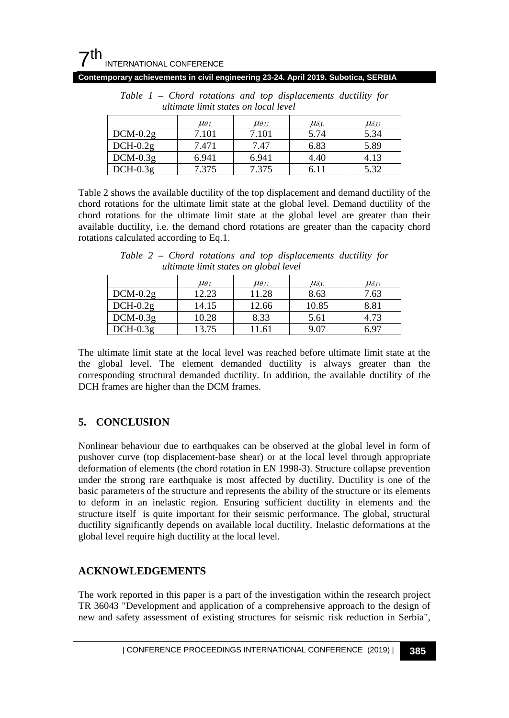| uuunute umu suucs on iocui ievei |                  |                  |                  |                  |  |
|----------------------------------|------------------|------------------|------------------|------------------|--|
|                                  | $\mu_{\theta,L}$ | $\mu_{\theta,U}$ | $\mu_{\delta,L}$ | $\mu_{\delta,U}$ |  |
| $DCM-0.2g$                       | 7.101            | 7.101            | 5.74             | 5.34             |  |
| $DCH-0.2g$                       | 7.471            | 7.47             | 6.83             | 5.89             |  |
| $DCM-0.3g$                       | 6.941            | 6.941            | 4.40             | 4.13             |  |
| $DCH-0.3g$                       | 7.375            | 7.375            | 6.11             | 5.32             |  |

*Table 1 – Chord rotations and top displacements ductility for ultimate limit states on local level*

**Contemporary achievements in civil engineering 23-24. April 2019. Subotica, SERBIA**

Table 2 shows the available ductility of the top displacement and demand ductility of the chord rotations for the ultimate limit state at the global level. Demand ductility of the chord rotations for the ultimate limit state at the global level are greater than their available ductility, i.e. the demand chord rotations are greater than the capacity chord rotations calculated according to Eq.1.

| ultimate limit states on global level |                  |                  |                  |                  |  |  |
|---------------------------------------|------------------|------------------|------------------|------------------|--|--|
|                                       | $\mu_{\theta L}$ | $\mu_{\theta,U}$ | $\mu_{\delta,L}$ | $\mu_{\delta,U}$ |  |  |
| $DCM-0.2g$                            | 12.23            | 11.28            | 8.63             | 7.63             |  |  |
| $DCH-0.2g$                            | 14.15            | 12.66            | 10.85            | 8.81             |  |  |

 $DCM-0.3g$  10.28 8.33 5.61 4.73 DCH-0.3g 13.75 11.61 9.07 6.97

*Table 2 – Chord rotations and top displacements ductility for ultimate limit states on global level*

The ultimate limit state at the local level was reached before ultimate limit state at the the global level. The element demanded ductility is always greater than the corresponding structural demanded ductility. In addition, the available ductility of the DCH frames are higher than the DCM frames.

## **5. CONCLUSION**

Nonlinear behaviour due to earthquakes can be observed at the global level in form of pushover curve (top displacement-base shear) or at the local level through appropriate deformation of elements (the chord rotation in EN 1998-3). Structure collapse prevention under the strong rare earthquake is most affected by ductility. Ductility is one of the basic parameters of the structure and represents the ability of the structure or its elements to deform in an inelastic region. Ensuring sufficient ductility in elements and the structure itself is quite important for their seismic performance. The global, structural ductility significantly depends on available local ductility. Inelastic deformations at the global level require high ductility at the local level.

## **ACKNOWLEDGEMENTS**

The work reported in this paper is a part of the investigation within the research project TR 36043 "Development and application of a comprehensive approach to the design of new and safety assessment of existing structures for seismic risk reduction in Serbia",